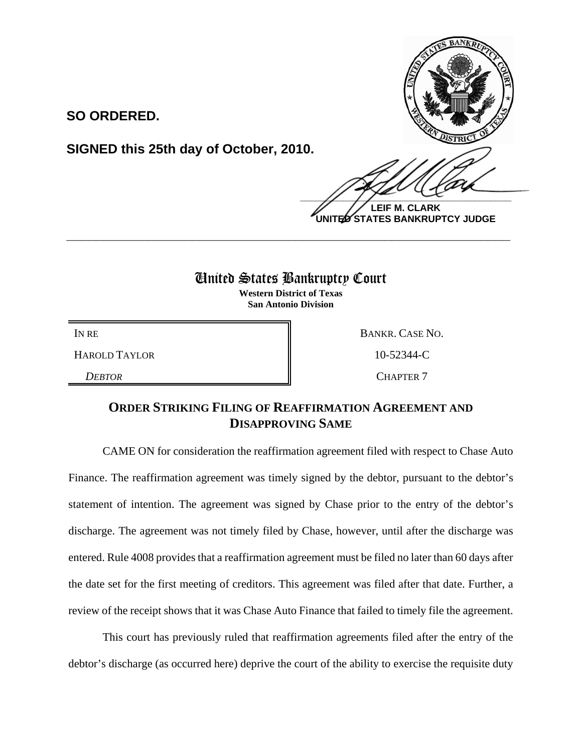**SO ORDERED.**

**SIGNED this 25th day of October, 2010.**

 $\frac{1}{2}$ 

**LEIF M. CLARK UNITED STATES BANKRUPTCY JUDGE**

## United States Bankruptcy Court

**\_\_\_\_\_\_\_\_\_\_\_\_\_\_\_\_\_\_\_\_\_\_\_\_\_\_\_\_\_\_\_\_\_\_\_\_\_\_\_\_\_\_\_\_\_\_\_\_\_\_\_\_\_\_\_\_\_\_\_\_**

**Western District of Texas San Antonio Division**

HAROLD TAYLOR 10-52344-C

IN RE BANKR. CASE NO. *DEBTOR* CHAPTER 7

## **ORDER STRIKING FILING OF REAFFIRMATION AGREEMENT AND DISAPPROVING SAME**

CAME ON for consideration the reaffirmation agreement filed with respect to Chase Auto Finance. The reaffirmation agreement was timely signed by the debtor, pursuant to the debtor's statement of intention. The agreement was signed by Chase prior to the entry of the debtor's discharge. The agreement was not timely filed by Chase, however, until after the discharge was entered. Rule 4008 provides that a reaffirmation agreement must be filed no later than 60 days after the date set for the first meeting of creditors. This agreement was filed after that date. Further, a review of the receipt shows that it was Chase Auto Finance that failed to timely file the agreement.

This court has previously ruled that reaffirmation agreements filed after the entry of the debtor's discharge (as occurred here) deprive the court of the ability to exercise the requisite duty